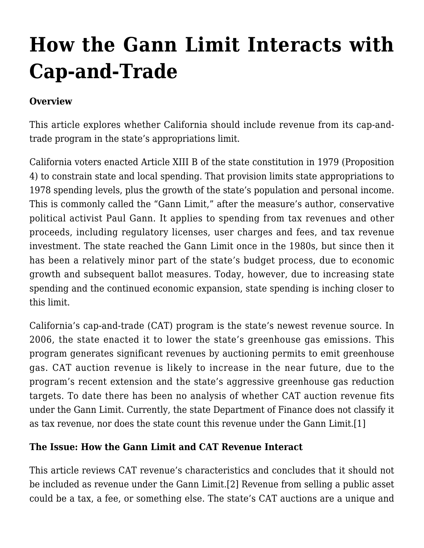# **[How the Gann Limit Interacts with](http://scocablog.com/how-the-gann-limit-interacts-with-cap-and-trade/) [Cap-and-Trade](http://scocablog.com/how-the-gann-limit-interacts-with-cap-and-trade/)**

### **Overview**

This article explores whether California should include revenue from its cap-andtrade program in the state's appropriations limit.

California voters enacted Article XIII B of the state constitution in 1979 (Proposition 4) to constrain state and local spending. That provision limits state appropriations to 1978 spending levels, plus the growth of the state's population and personal income. This is commonly called the "Gann Limit," after the measure's author, conservative political activist Paul Gann. It applies to spending from tax revenues and other proceeds, including regulatory licenses, user charges and fees, and tax revenue investment. The state reached the Gann Limit once in the 1980s, but since then it has been a relatively minor part of the state's budget process, due to economic growth and subsequent ballot measures. Today, however, due to increasing state spending and the continued economic expansion, state spending is inching closer to this limit.

California's cap-and-trade (CAT) program is the state's newest revenue source. In 2006, the state enacted it to lower the state's greenhouse gas emissions. This program generates significant revenues by auctioning permits to emit greenhouse gas. CAT auction revenue is likely to increase in the near future, due to the program's recent extension and the state's aggressive greenhouse gas reduction targets. To date there has been no analysis of whether CAT auction revenue fits under the Gann Limit. Currently, the state Department of Finance does not classify it as tax revenue, nor does the state count this revenue under the Gann Limit.[\[1\]](#page-7-0)

#### <span id="page-0-0"></span>**The Issue: How the Gann Limit and CAT Revenue Interact**

<span id="page-0-1"></span>This article reviews CAT revenue's characteristics and concludes that it should not be included as revenue under the Gann Limit.[\[2\]](#page-7-1) Revenue from selling a public asset could be a tax, a fee, or something else. The state's CAT auctions are a unique and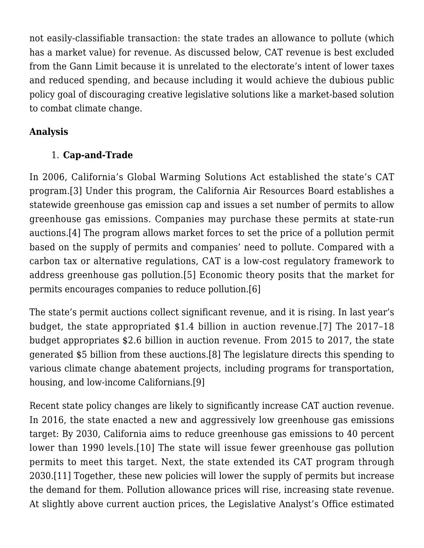not easily-classifiable transaction: the state trades an allowance to pollute (which has a market value) for revenue. As discussed below, CAT revenue is best excluded from the Gann Limit because it is unrelated to the electorate's intent of lower taxes and reduced spending, and because including it would achieve the dubious public policy goal of discouraging creative legislative solutions like a market-based solution to combat climate change.

### **Analysis**

# 1. **Cap-and-Trade**

<span id="page-1-1"></span><span id="page-1-0"></span>In 2006, California's Global Warming Solutions Act established the state's CAT program.[\[3\]](#page-7-2) Under this program, the California Air Resources Board establishes a statewide greenhouse gas emission cap and issues a set number of permits to allow greenhouse gas emissions. Companies may purchase these permits at state-run auctions[.\[4\]](#page-7-3) The program allows market forces to set the price of a pollution permit based on the supply of permits and companies' need to pollute. Compared with a carbon tax or alternative regulations, CAT is a low-cost regulatory framework to address greenhouse gas pollution.[\[5\]](#page-7-4) Economic theory posits that the market for permits encourages companies to reduce pollution[.\[6\]](#page-7-5)

<span id="page-1-5"></span><span id="page-1-4"></span><span id="page-1-3"></span><span id="page-1-2"></span>The state's permit auctions collect significant revenue, and it is rising. In last year's budget, the state appropriated \$1.4 billion in auction revenue.[\[7\]](#page-7-6) The 2017–18 budget appropriates \$2.6 billion in auction revenue. From 2015 to 2017, the state generated \$5 billion from these auctions[.\[8\]](#page-8-0) The legislature directs this spending to various climate change abatement projects, including programs for transportation, housing, and low-income Californians.[\[9\]](#page-8-1)

<span id="page-1-9"></span><span id="page-1-8"></span><span id="page-1-7"></span><span id="page-1-6"></span>Recent state policy changes are likely to significantly increase CAT auction revenue. In 2016, the state enacted a new and aggressively low greenhouse gas emissions target: By 2030, California aims to reduce greenhouse gas emissions to 40 percent lower than 1990 levels.[\[10\]](#page-8-2) The state will issue fewer greenhouse gas pollution permits to meet this target. Next, the state extended its CAT program through 2030.[\[11\]](#page-8-3) Together, these new policies will lower the supply of permits but increase the demand for them. Pollution allowance prices will rise, increasing state revenue. At slightly above current auction prices, the Legislative Analyst's Office estimated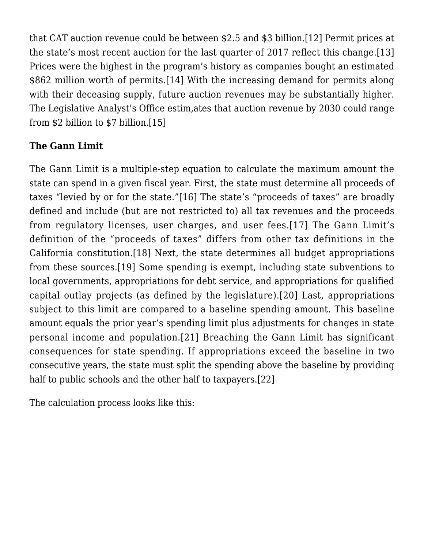<span id="page-2-1"></span><span id="page-2-0"></span>that CAT auction revenue could be between \$2.5 and \$3 billion[.\[12\]](#page-8-4) Permit prices at the state's most recent auction for the last quarter of 2017 reflect this change.[\[13\]](#page-8-5) Prices were the highest in the program's history as companies bought an estimated \$862 million worth of permits.[\[14\]](#page-8-6) With the increasing demand for permits along with their deceasing supply, future auction revenues may be substantially higher. The Legislative Analyst's Office estim,ates that auction revenue by 2030 could range from \$2 billion to \$7 billion.[\[15\]](#page-8-7)

#### <span id="page-2-2"></span>**The Gann Limit**

<span id="page-2-6"></span><span id="page-2-5"></span><span id="page-2-4"></span><span id="page-2-3"></span>The Gann Limit is a multiple-step equation to calculate the maximum amount the state can spend in a given fiscal year. First, the state must determine all proceeds of taxes "levied by or for the state."[\[16\]](#page-8-8) The state's "proceeds of taxes" are broadly defined and include (but are not restricted to) all tax revenues and the proceeds from regulatory licenses, user charges, and user fees.[\[17\]](#page-8-9) The Gann Limit's definition of the "proceeds of taxes" differs from other tax definitions in the California constitution.[\[18\]](#page-8-10) Next, the state determines all budget appropriations from these sources.[\[19\]](#page-8-11) Some spending is exempt, including state subventions to local governments, appropriations for debt service, and appropriations for qualified capital outlay projects (as defined by the legislature).[\[20\]](#page-9-0) Last, appropriations subject to this limit are compared to a baseline spending amount. This baseline amount equals the prior year's spending limit plus adjustments for changes in state personal income and population.[\[21\]](#page-9-1) Breaching the Gann Limit has significant consequences for state spending. If appropriations exceed the baseline in two consecutive years, the state must split the spending above the baseline by providing half to public schools and the other half to taxpayers.[\[22\]](#page-9-2)

<span id="page-2-9"></span><span id="page-2-8"></span><span id="page-2-7"></span>The calculation process looks like this: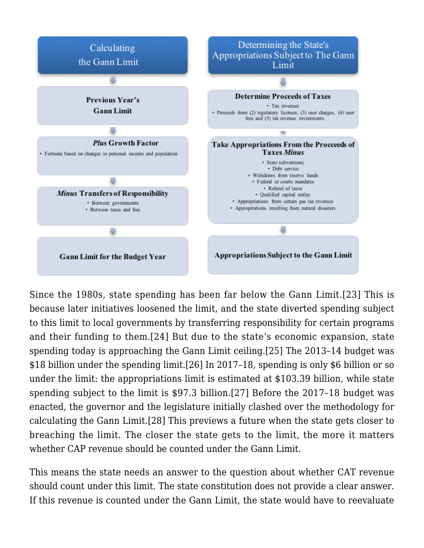

<span id="page-3-3"></span><span id="page-3-2"></span><span id="page-3-1"></span><span id="page-3-0"></span>Since the 1980s, state spending has been far below the Gann Limit.[\[23\]](#page-9-3) This is because later initiatives loosened the limit, and the state diverted spending subject to this limit to local governments by transferring responsibility for certain programs and their funding to them[.\[24\]](#page-9-4) But due to the state's economic expansion, state spending today is approaching the Gann Limit ceiling[.\[25\]](#page-9-5) The 2013–14 budget was \$18 billion under the spending limit.[\[26\]](#page-9-6) In 2017–18, spending is only \$6 billion or so under the limit: the appropriations limit is estimated at \$103.39 billion, while state spending subject to the limit is \$97.3 billion.[\[27\]](#page-9-7) Before the 2017–18 budget was enacted, the governor and the legislature initially clashed over the methodology for calculating the Gann Limit.[\[28\]](#page-9-8) This previews a future when the state gets closer to breaching the limit. The closer the state gets to the limit, the more it matters whether CAP revenue should be counted under the Gann Limit.

<span id="page-3-5"></span><span id="page-3-4"></span>This means the state needs an answer to the question about whether CAT revenue should count under this limit. The state constitution does not provide a clear answer. If this revenue is counted under the Gann Limit, the state would have to reevaluate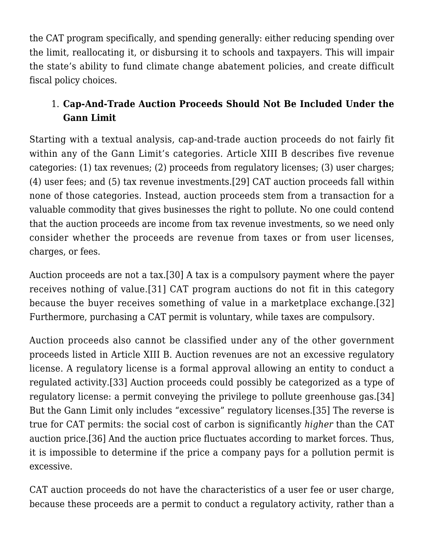the CAT program specifically, and spending generally: either reducing spending over the limit, reallocating it, or disbursing it to schools and taxpayers. This will impair the state's ability to fund climate change abatement policies, and create difficult fiscal policy choices.

# 1. **Cap-And-Trade Auction Proceeds Should Not Be Included Under the Gann Limit**

<span id="page-4-0"></span>Starting with a textual analysis, cap-and-trade auction proceeds do not fairly fit within any of the Gann Limit's categories. Article XIII B describes five revenue categories: (1) tax revenues; (2) proceeds from regulatory licenses; (3) user charges; (4) user fees; and (5) tax revenue investments[.\[29\]](#page-9-9) CAT auction proceeds fall within none of those categories. Instead, auction proceeds stem from a transaction for a valuable commodity that gives businesses the right to pollute. No one could contend that the auction proceeds are income from tax revenue investments, so we need only consider whether the proceeds are revenue from taxes or from user licenses, charges, or fees.

<span id="page-4-3"></span><span id="page-4-2"></span><span id="page-4-1"></span>Auction proceeds are not a tax.[\[30\]](#page-9-10) A tax is a compulsory payment where the payer receives nothing of value.[\[31\]](#page-9-11) CAT program auctions do not fit in this category because the buyer receives something of value in a marketplace exchange[.\[32\]](#page-9-12) Furthermore, purchasing a CAT permit is voluntary, while taxes are compulsory.

<span id="page-4-6"></span><span id="page-4-5"></span><span id="page-4-4"></span>Auction proceeds also cannot be classified under any of the other government proceeds listed in Article XIII B. Auction revenues are not an excessive regulatory license. A regulatory license is a formal approval allowing an entity to conduct a regulated activity[.\[33\]](#page-10-0) Auction proceeds could possibly be categorized as a type of regulatory license: a permit conveying the privilege to pollute greenhouse gas.[\[34\]](#page-10-1) But the Gann Limit only includes "excessive" regulatory licenses.[\[35\]](#page-10-2) The reverse is true for CAT permits: the social cost of carbon is significantly *higher* than the CAT auction price.[\[36\]](#page-10-3) And the auction price fluctuates according to market forces. Thus, it is impossible to determine if the price a company pays for a pollution permit is excessive.

<span id="page-4-8"></span><span id="page-4-7"></span>CAT auction proceeds do not have the characteristics of a user fee or user charge, because these proceeds are a permit to conduct a regulatory activity, rather than a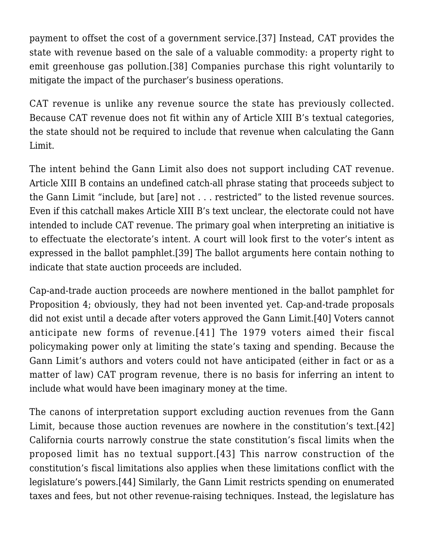<span id="page-5-0"></span>payment to offset the cost of a government service.[\[37\]](#page-10-4) Instead, CAT provides the state with revenue based on the sale of a valuable commodity: a property right to emit greenhouse gas pollution.[\[38\]](#page-10-5) Companies purchase this right voluntarily to mitigate the impact of the purchaser's business operations.

CAT revenue is unlike any revenue source the state has previously collected. Because CAT revenue does not fit within any of Article XIII B's textual categories, the state should not be required to include that revenue when calculating the Gann Limit.

The intent behind the Gann Limit also does not support including CAT revenue. Article XIII B contains an undefined catch-all phrase stating that proceeds subject to the Gann Limit "include, but [are] not . . . restricted" to the listed revenue sources. Even if this catchall makes Article XIII B's text unclear, the electorate could not have intended to include CAT revenue. The primary goal when interpreting an initiative is to effectuate the electorate's intent. A court will look first to the voter's intent as expressed in the ballot pamphlet.[\[39\]](#page-10-6) The ballot arguments here contain nothing to indicate that state auction proceeds are included.

<span id="page-5-3"></span><span id="page-5-2"></span><span id="page-5-1"></span>Cap-and-trade auction proceeds are nowhere mentioned in the ballot pamphlet for Proposition 4; obviously, they had not been invented yet. Cap-and-trade proposals did not exist until a decade after voters approved the Gann Limit[.\[40\]](#page-10-7) Voters cannot anticipate new forms of revenue.[\[41\]](#page-10-8) The 1979 voters aimed their fiscal policymaking power only at limiting the state's taxing and spending. Because the Gann Limit's authors and voters could not have anticipated (either in fact or as a matter of law) CAT program revenue, there is no basis for inferring an intent to include what would have been imaginary money at the time.

<span id="page-5-6"></span><span id="page-5-5"></span><span id="page-5-4"></span>The canons of interpretation support excluding auction revenues from the Gann Limit, because those auction revenues are nowhere in the constitution's text.[\[42\]](#page-10-9) California courts narrowly construe the state constitution's fiscal limits when the proposed limit has no textual support.[\[43\]](#page-11-0) This narrow construction of the constitution's fiscal limitations also applies when these limitations conflict with the legislature's powers[.\[44\]](#page-11-1) Similarly, the Gann Limit restricts spending on enumerated taxes and fees, but not other revenue-raising techniques. Instead, the legislature has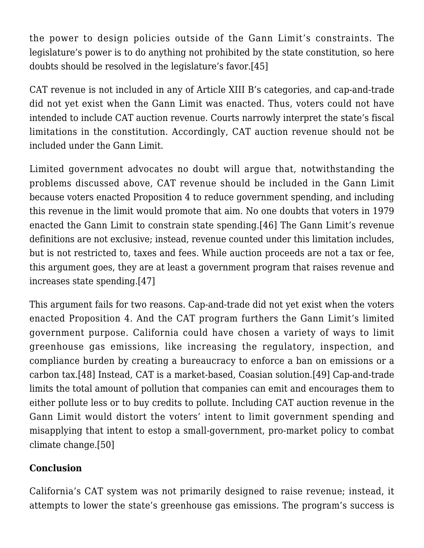the power to design policies outside of the Gann Limit's constraints. The legislature's power is to do anything not prohibited by the state constitution, so here doubts should be resolved in the legislature's favor[.\[45\]](#page-11-2)

<span id="page-6-0"></span>CAT revenue is not included in any of Article XIII B's categories, and cap-and-trade did not yet exist when the Gann Limit was enacted. Thus, voters could not have intended to include CAT auction revenue. Courts narrowly interpret the state's fiscal limitations in the constitution. Accordingly, CAT auction revenue should not be included under the Gann Limit.

<span id="page-6-1"></span>Limited government advocates no doubt will argue that, notwithstanding the problems discussed above, CAT revenue should be included in the Gann Limit because voters enacted Proposition 4 to reduce government spending, and including this revenue in the limit would promote that aim. No one doubts that voters in 1979 enacted the Gann Limit to constrain state spending.[\[46\]](#page-11-3) The Gann Limit's revenue definitions are not exclusive; instead, revenue counted under this limitation includes, but is not restricted to, taxes and fees. While auction proceeds are not a tax or fee, this argument goes, they are at least a government program that raises revenue and increases state spending[.\[47\]](#page-11-4)

<span id="page-6-3"></span><span id="page-6-2"></span>This argument fails for two reasons. Cap-and-trade did not yet exist when the voters enacted Proposition 4. And the CAT program furthers the Gann Limit's limited government purpose. California could have chosen a variety of ways to limit greenhouse gas emissions, like increasing the regulatory, inspection, and compliance burden by creating a bureaucracy to enforce a ban on emissions or a carbon tax.[\[48\]](#page-11-5) Instead, CAT is a market-based, Coasian solution.[\[49\]](#page-11-6) Cap-and-trade limits the total amount of pollution that companies can emit and encourages them to either pollute less or to buy credits to pollute. Including CAT auction revenue in the Gann Limit would distort the voters' intent to limit government spending and misapplying that intent to estop a small-government, pro-market policy to combat climate change[.\[50\]](#page-12-0)

## <span id="page-6-4"></span>**Conclusion**

California's CAT system was not primarily designed to raise revenue; instead, it attempts to lower the state's greenhouse gas emissions. The program's success is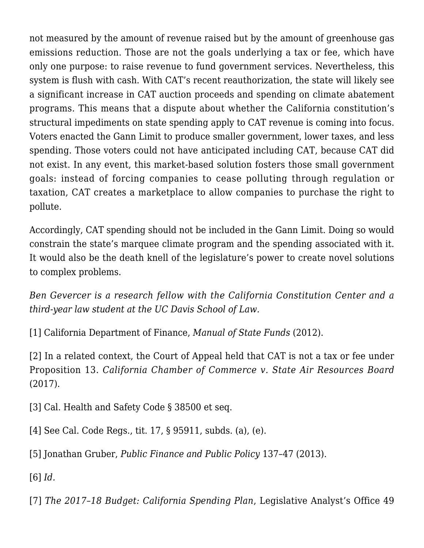not measured by the amount of revenue raised but by the amount of greenhouse gas emissions reduction. Those are not the goals underlying a tax or fee, which have only one purpose: to raise revenue to fund government services. Nevertheless, this system is flush with cash. With CAT's recent reauthorization, the state will likely see a significant increase in CAT auction proceeds and spending on climate abatement programs. This means that a dispute about whether the California constitution's structural impediments on state spending apply to CAT revenue is coming into focus. Voters enacted the Gann Limit to produce smaller government, lower taxes, and less spending. Those voters could not have anticipated including CAT, because CAT did not exist. In any event, this market-based solution fosters those small government goals: instead of forcing companies to cease polluting through regulation or taxation, CAT creates a marketplace to allow companies to purchase the right to pollute.

Accordingly, CAT spending should not be included in the Gann Limit. Doing so would constrain the state's marquee climate program and the spending associated with it. It would also be the death knell of the legislature's power to create novel solutions to complex problems.

*Ben Gevercer is a research fellow with the California Constitution Center and a third-year law student at the UC Davis School of Law.*

<span id="page-7-0"></span>[\[1\]](#page-0-0) California Department of Finance, *[Manual of State Funds](http://www.dof.ca.gov/budget/Manual_State_Funds/find_a_fund/documents/3228.pdf)* (2012).

<span id="page-7-1"></span>[\[2\]](#page-0-1) In a related context, the Court of Appeal held that CAT is not a tax or fee under Proposition 13. *[California Chamber of Commerce v. State Air Resources Board](http://caselaw.findlaw.com/ca-court-of-appeal/1855982.html)* (2017).

<span id="page-7-2"></span>[\[3\]](#page-1-0) [Cal. Health and Safety Code § 38500](http://codes.findlaw.com/ca/health-and-safety-code/hsc-sect-38500.html) et seq.

<span id="page-7-3"></span>[\[4\]](#page-1-1) See [Cal. Code Regs., tit. 17, § 95911,](https://govt.westlaw.com/calregs/Document/IA0B7D3B1841D4DF1A6629C23DABB7B98?viewType=FullText&originationContext=documenttoc&transitionType=DocumentItem&contextData=(sc.Default)) subds. (a), (e).

<span id="page-7-4"></span>[\[5\]](#page-1-2) Jonathan Gruber, *Public Finance and Public Policy* 137–47 (2013).

<span id="page-7-5"></span>[\[6\]](#page-1-3) *Id.*

<span id="page-7-6"></span>[\[7\]](#page-1-4) *[The 2017–18 Budget: California Spending Plan](http://lao.ca.gov/reports/2017/3694/spending-plan-2017.pdf)*, Legislative Analyst's Office 49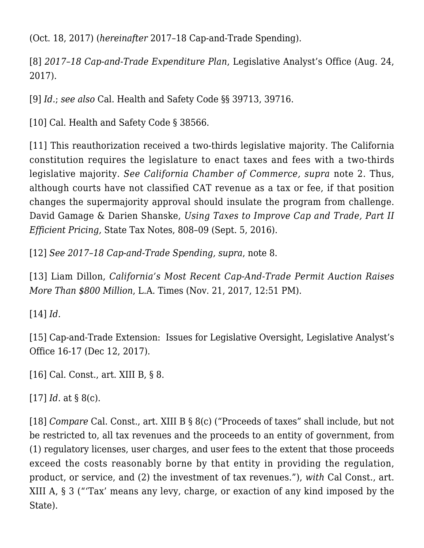(Oct. 18, 2017) (*hereinafter* 2017–18 Cap-and-Trade Spending).

<span id="page-8-0"></span>[\[8\]](#page-1-5) *[2017–18 Cap-and-Trade Expenditure Plan](http://www.lao.ca.gov/handouts/resources/2017/Senate-Cap-and-Trade-Expenditure-Plan-082417.pdf)*, Legislative Analyst's Office (Aug. 24, 2017).

<span id="page-8-1"></span>[\[9\]](#page-1-6) *Id.*; *see also* [Cal. Health and Safety Code §§ 39713](http://codes.findlaw.com/ca/health-and-safety-code/hsc-sect-39713.html), [39716](http://codes.findlaw.com/ca/health-and-safety-code/hsc-sect-39716.html).

<span id="page-8-2"></span>[\[10\]](#page-1-7) [Cal. Health and Safety Code § 38566](http://codes.findlaw.com/ca/health-and-safety-code/hsc-sect-38566.html).

<span id="page-8-3"></span>[\[11\]](#page-1-8) This reauthorization received a two-thirds legislative majority. The California constitution requires the legislature to enact taxes and fees with a two-thirds legislative majority. *See California Chamber of Commerce, supra* note 2. Thus, although courts have not classified CAT revenue as a tax or fee, if that position changes the supermajority approval should insulate the program from challenge. David Gamage & Darien Shanske, *Using Taxes to Improve Cap and Trade, Part II Efficient Pricing,* State Tax Notes, 808–09 (Sept. 5, 2016).

<span id="page-8-4"></span>[\[12\]](#page-1-9) *See 2017–18 Cap-and-Trade Spending, supra*, note 8.

<span id="page-8-5"></span>[\[13\]](#page-2-0) [Liam Dillon,](http://www.latimes.com/politics/essential/la-pol-ca-essential-politics-updates-california-s-most-recent-cap-and-trade-1511297193-htmlstory.html) *[California's Most Recent Cap-And-Trade Permit Auction Raises](http://www.latimes.com/politics/essential/la-pol-ca-essential-politics-updates-california-s-most-recent-cap-and-trade-1511297193-htmlstory.html) [More Than \\$800 Million](http://www.latimes.com/politics/essential/la-pol-ca-essential-politics-updates-california-s-most-recent-cap-and-trade-1511297193-htmlstory.html)*[, L.A. Times \(Nov. 21, 2017, 12:51 PM\).](http://www.latimes.com/politics/essential/la-pol-ca-essential-politics-updates-california-s-most-recent-cap-and-trade-1511297193-htmlstory.html)

<span id="page-8-6"></span>[\[14\]](#page-2-1) *Id.*

<span id="page-8-7"></span>[\[15\]](#page-2-2) [Cap-and-Trade Extension: Issues for Legislative Oversight,](http://www.lao.ca.gov/Publications/Report/3719) Legislative Analyst's Office 16-17 (Dec 12, 2017).

<span id="page-8-8"></span>[\[16\]](#page-2-3) [Cal. Const., art. XIII B](http://www.boe.ca.gov/lawguides/property/current/ptlg/ccp/art-XIII-B-all.html), § 8.

<span id="page-8-9"></span>[\[17\]](#page-2-4) *Id.* at § 8(c).

<span id="page-8-11"></span><span id="page-8-10"></span>[\[18\]](#page-2-5) *Compare* [Cal. Const., art. XIII B](http://www.boe.ca.gov/lawguides/property/current/ptlg/ccp/art-XIII-B-all.html) § 8(c) ("Proceeds of taxes" shall include, but not be restricted to, all tax revenues and the proceeds to an entity of government, from (1) regulatory licenses, user charges, and user fees to the extent that those proceeds exceed the costs reasonably borne by that entity in providing the regulation, product, or service, and (2) the investment of tax revenues."), *with* [Cal Const., art.](http://www.boe.ca.gov/lawguides/property/current/ptlg/ccp/art-XIII-all.html) [XIII A](http://www.boe.ca.gov/lawguides/property/current/ptlg/ccp/art-XIII-all.html), § 3 ("'Tax' means any levy, charge, or exaction of any kind imposed by the State).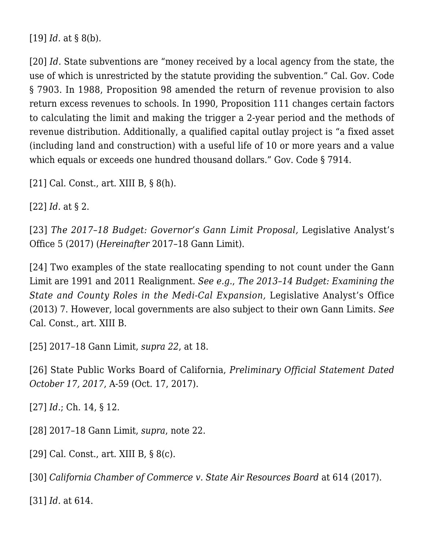[\[19\]](#page-2-6) *Id.* at § 8(b).

<span id="page-9-0"></span>[\[20\]](#page-2-7) *Id.* State subventions are "money received by a local agency from the state, the use of which is unrestricted by the statute providing the subvention." [Cal. Gov. Code](http://codes.findlaw.com/ca/government-code/gov-sect-7903.html) [§ 7903.](http://codes.findlaw.com/ca/government-code/gov-sect-7903.html) In 1988, Proposition 98 amended the return of revenue provision to also return excess revenues to schools. In 1990, Proposition 111 changes certain factors to calculating the limit and making the trigger a 2-year period and the methods of revenue distribution. Additionally, a qualified capital outlay project is "a fixed asset (including land and construction) with a useful life of 10 or more years and a value which equals or exceeds one hundred thousand dollars." [Gov. Code § 7914.](http://codes.findlaw.com/ca/government-code/gov-sect-7914.html)

<span id="page-9-1"></span>[\[21\]](#page-2-8) [Cal. Const., art. XIII B](http://www.boe.ca.gov/lawguides/property/current/ptlg/ccp/art-XIII-B-all.html), § 8(h).

<span id="page-9-2"></span>[\[22\]](#page-2-9) *Id.* at § 2.

<span id="page-9-3"></span>[\[23\]](#page-3-0) *[The 2017–18 Budget: Governor's Gann Limit Proposal](http://www.lao.ca.gov/reports/2017/3596/gann-limit-030217.pdf),* Legislative Analyst's Office 5 (2017) (*Hereinafter* 2017–18 Gann Limit).

<span id="page-9-4"></span>[\[24\]](#page-3-1) Two examples of the state reallocating spending to not count under the Gann Limit are 1991 and 2011 Realignment. *See e.g.*, *[The 2013–14 Budget: Examining the](http://www.lao.ca.gov/analysis/2013/health/ACA/medi-cal-expansion-021913.pdf) [State and County Roles in the Medi-Cal Expansion](http://www.lao.ca.gov/analysis/2013/health/ACA/medi-cal-expansion-021913.pdf),* Legislative Analyst's Office (2013) 7. However, local governments are also subject to their own Gann Limits. *See* [Cal. Const., art. XIII B](http://www.boe.ca.gov/lawguides/property/current/ptlg/ccp/art-XIII-B-all.html).

<span id="page-9-5"></span>[\[25\]](#page-3-2) 2017–18 Gann Limit, *supra 22*, at 18.

<span id="page-9-6"></span>[\[26\]](#page-3-3) State Public Works Board of California, *Preliminary Official Statement Dated October 17, 2017*, A-59 (Oct. 17, 2017).

<span id="page-9-7"></span>[\[27\]](#page-3-4) *Id.*; Ch. 14, § 12.

<span id="page-9-8"></span>[\[28\]](#page-3-5) 2017–18 Gann Limit, *supra*, note 22.

<span id="page-9-9"></span>[\[29\]](#page-4-0) [Cal. Const., art. XIII B](http://www.boe.ca.gov/lawguides/property/current/ptlg/ccp/art-XIII-B-all.html), § 8(c).

<span id="page-9-10"></span>[\[30\]](#page-4-1) *[California Chamber of Commerce v. State Air Resources Board](http://caselaw.findlaw.com/ca-court-of-appeal/1855982.html)* at 614 (2017).

<span id="page-9-12"></span><span id="page-9-11"></span>[\[31\]](#page-4-2) *Id.* at 614.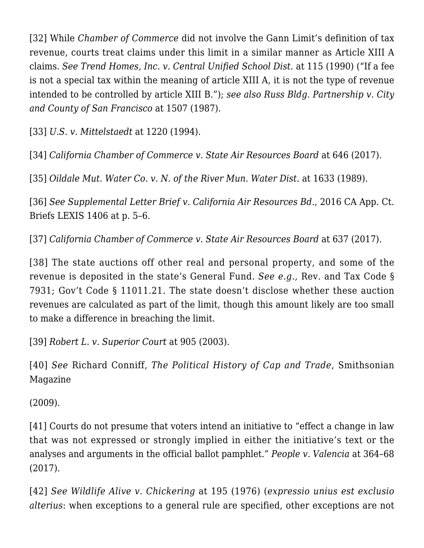[\[32\]](#page-4-3) While *Chamber of Commerce* did not involve the Gann Limit's definition of tax revenue, courts treat claims under this limit in a similar manner as Article XIII A claims. *See [Trend Homes, Inc. v. Central Unified School Dist.](https://law.justia.com/cases/california/court-of-appeal/3d/220/102.html)* at 115 (1990) ("If a fee is not a special tax within the meaning of article XIII A, it is not the type of revenue intended to be controlled by article XIII B."); *see also [Russ Bldg. Partnership v. City](https://law.justia.com/cases/california/court-of-appeal/3d/199/1496.html) [and County of San Francisco](https://law.justia.com/cases/california/court-of-appeal/3d/199/1496.html)* at 1507 (1987).

<span id="page-10-0"></span>[\[33\]](#page-4-4) *[U.S. v. Mittelstaedt](http://theamazonpost.com/post-trial-brief-pdfs/brief/53zUnitedStatesvMittelstaedt.pdf)* at 1220 (1994).

<span id="page-10-1"></span>[\[34\]](#page-4-5) *[California Chamber of Commerce v. State Air Resources Board](http://caselaw.findlaw.com/ca-court-of-appeal/1855982.html)* at 646 (2017).

<span id="page-10-2"></span>[\[35\]](#page-4-6) *[Oildale Mut. Water Co. v. N. of the River Mun. Water Dist.](https://law.justia.com/cases/california/court-of-appeal/3d/215/1628.html)* at 1633 (1989).

<span id="page-10-3"></span>[\[36\]](#page-4-7) *See [Supplemental Letter Brief v. California Air Resources Bd.](https://www.edf.org/sites/default/files/content/arbsuppbrief.pdf)*, 2016 CA App. Ct. Briefs LEXIS 1406 at p. 5–6.

<span id="page-10-4"></span>[\[37\]](#page-4-8) *[California Chamber of Commerce v. State Air Resources Board](http://caselaw.findlaw.com/ca-court-of-appeal/1855982.html)* at 637 (2017).

<span id="page-10-5"></span>[\[38\]](#page-5-0) The state auctions off other real and personal property, and some of the revenue is deposited in the state's General Fund. *See e.g.*, [Rev. and Tax Code §](http://codes.findlaw.com/ca/revenue-and-taxation-code/rtc-sect-7931.html) [7931;](http://codes.findlaw.com/ca/revenue-and-taxation-code/rtc-sect-7931.html) [Gov't Code § 11011.21](http://codes.findlaw.com/ca/government-code/gov-sect-11011-21.html). The state doesn't disclose whether these auction revenues are calculated as part of the limit, though this amount likely are too small to make a difference in breaching the limit.

<span id="page-10-6"></span>[\[39\]](#page-5-1) *[Robert L. v. Superior Court](https://casetext.com/case/robert-l-v-superior-court-of-orange-county)* at 905 (2003).

<span id="page-10-7"></span>[\[40\]](#page-5-2) *See* Richard Conniff, *[The Political History of Cap and Trade](https://www.smithsonianmag.com/science-nature/the-political-history-of-cap-and-trade-34711212/)*, Smithsonian Magazine

(2009).

<span id="page-10-8"></span>[\[41\]](#page-5-3) Courts do not presume that voters intend an initiative to "effect a change in law that was not expressed or strongly implied in either the initiative's text or the analyses and arguments in the official ballot pamphlet." *[People v. Valencia](https://www.leagle.com/decision/incaco20170703019)* at 364–68 (2017).

<span id="page-10-9"></span>[\[42\]](#page-5-4) *See [Wildlife Alive v. Chickering](http://resources.ca.gov/ceqa/cases/1976/wildlife_082476.html)* at 195 (1976) (*expressio unius est exclusio alterius*: when exceptions to a general rule are specified, other exceptions are not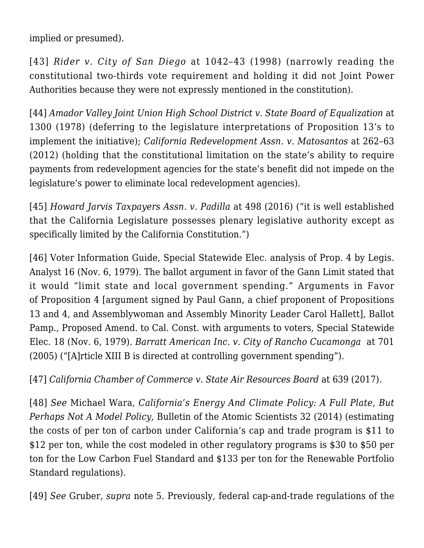implied or presumed).

<span id="page-11-0"></span>[\[43\]](#page-5-5) *[Rider v. City of San Diego](https://law.justia.com/cases/california/supreme-court/4th/18/1035.html)* at 1042–43 (1998) (narrowly reading the constitutional two-thirds vote requirement and holding it did not Joint Power Authorities because they were not expressly mentioned in the constitution).

<span id="page-11-1"></span>[\[44\]](#page-5-6) *[Amador Valley Joint Union High School District v. State Board of Equalization](https://law.justia.com/cases/california/supreme-court/3d/22/208.html)* at 1300 (1978) (deferring to the legislature interpretations of Proposition 13's to implement the initiative); *[California Redevelopment Assn. v. Matosantos](https://scocal.stanford.edu/opinion/cal-redevelopment-assoc-v-matosantos-34044)* at 262–63 (2012) (holding that the constitutional limitation on the state's ability to require payments from redevelopment agencies for the state's benefit did not impede on the legislature's power to eliminate local redevelopment agencies).

<span id="page-11-2"></span>[\[45\]](#page-6-0) *[Howard Jarvis Taxpayers Assn. v. Padilla](https://www.leagle.com/decision/incaco20160104029)* at 498 (2016) ("it is well established that the California Legislature possesses plenary legislative authority except as specifically limited by the California Constitution.")

<span id="page-11-3"></span>[\[46\]](#page-6-1) Voter Information Guide, Special Statewide Elec. analysis of Prop. 4 by Legis. Analyst 16 (Nov. 6, 1979). The ballot argument in favor of the Gann Limit stated that it would "limit state and local government spending." Arguments in Favor of Proposition 4 [argument signed by Paul Gann, a chief proponent of Propositions 13 and 4, and Assemblywoman and Assembly Minority Leader Carol Hallett], Ballot Pamp., Proposed Amend. to Cal. Const. with arguments to voters, Special Statewide Elec. 18 (Nov. 6, 1979). *[Barratt American Inc. v. City of Rancho Cucamonga](https://casetext.com/case/barratt-american-inc-v-city-of-rancho-cucamonga)* at 701 (2005) ("[A]rticle XIII B is directed at controlling government spending").

<span id="page-11-4"></span>[\[47\]](#page-6-2) *[California Chamber of Commerce v. State Air Resources Board](http://caselaw.findlaw.com/ca-court-of-appeal/1855982.html)* at 639 (2017).

<span id="page-11-5"></span>[\[48\]](#page-6-3) *See* Michael Wara, *California's Energy And Climate Policy: A Full Plate, But Perhaps Not A Model Policy,* Bulletin of the Atomic Scientists 32 (2014) (estimating the costs of per ton of carbon under California's cap and trade program is \$11 to \$12 per ton, while the cost modeled in other regulatory programs is \$30 to \$50 per ton for the Low Carbon Fuel Standard and \$133 per ton for the Renewable Portfolio Standard regulations).

<span id="page-11-6"></span>[\[49\]](#page-6-3) *See* Gruber, *supra* note 5. Previously, federal cap-and-trade regulations of the